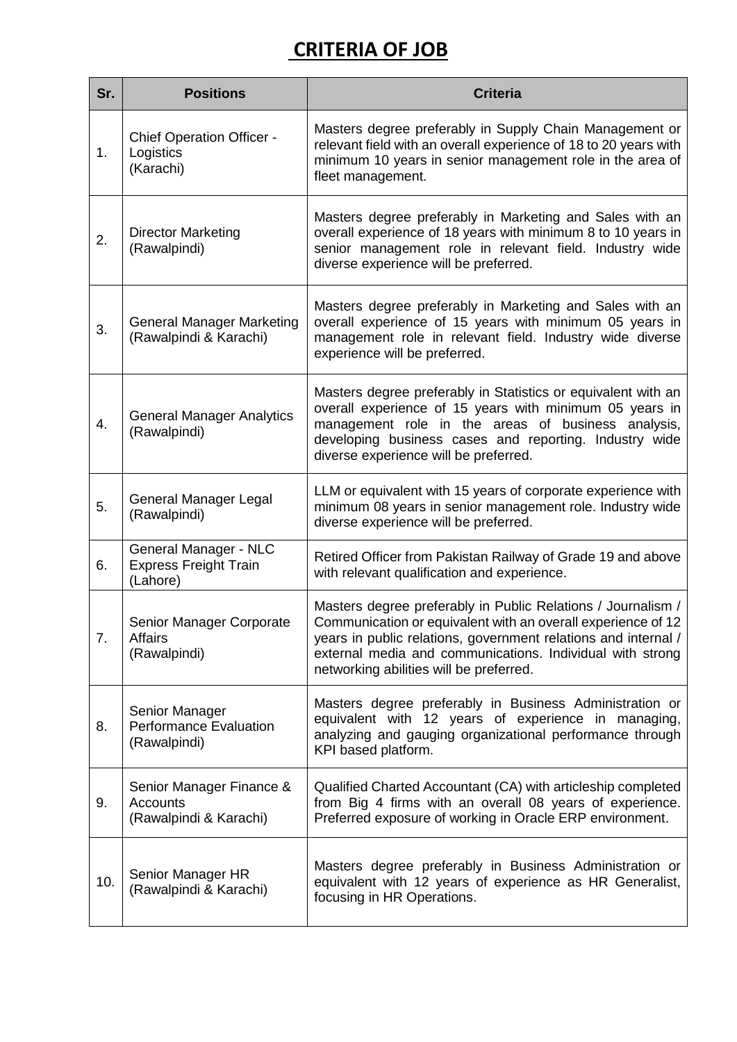## **CRITERIA OF JOB**

| Sr. | <b>Positions</b>                                                      | <b>Criteria</b>                                                                                                                                                                                                                                                                                        |
|-----|-----------------------------------------------------------------------|--------------------------------------------------------------------------------------------------------------------------------------------------------------------------------------------------------------------------------------------------------------------------------------------------------|
| 1.  | <b>Chief Operation Officer -</b><br>Logistics<br>(Karachi)            | Masters degree preferably in Supply Chain Management or<br>relevant field with an overall experience of 18 to 20 years with<br>minimum 10 years in senior management role in the area of<br>fleet management.                                                                                          |
| 2.  | <b>Director Marketing</b><br>(Rawalpindi)                             | Masters degree preferably in Marketing and Sales with an<br>overall experience of 18 years with minimum 8 to 10 years in<br>senior management role in relevant field. Industry wide<br>diverse experience will be preferred.                                                                           |
| 3.  | <b>General Manager Marketing</b><br>(Rawalpindi & Karachi)            | Masters degree preferably in Marketing and Sales with an<br>overall experience of 15 years with minimum 05 years in<br>management role in relevant field. Industry wide diverse<br>experience will be preferred.                                                                                       |
| 4.  | <b>General Manager Analytics</b><br>(Rawalpindi)                      | Masters degree preferably in Statistics or equivalent with an<br>overall experience of 15 years with minimum 05 years in<br>management role in the areas of business analysis,<br>developing business cases and reporting. Industry wide<br>diverse experience will be preferred.                      |
| 5.  | General Manager Legal<br>(Rawalpindi)                                 | LLM or equivalent with 15 years of corporate experience with<br>minimum 08 years in senior management role. Industry wide<br>diverse experience will be preferred.                                                                                                                                     |
| 6.  | General Manager - NLC<br><b>Express Freight Train</b><br>(Lahore)     | Retired Officer from Pakistan Railway of Grade 19 and above<br>with relevant qualification and experience.                                                                                                                                                                                             |
| 7.  | Senior Manager Corporate<br><b>Affairs</b><br>(Rawalpindi)            | Masters degree preferably in Public Relations / Journalism /<br>Communication or equivalent with an overall experience of 12<br>years in public relations, government relations and internal /<br>external media and communications. Individual with strong<br>networking abilities will be preferred. |
| 8.  | Senior Manager<br><b>Performance Evaluation</b><br>(Rawalpindi)       | Masters degree preferably in Business Administration or<br>equivalent with 12 years of experience in managing,<br>analyzing and gauging organizational performance through<br>KPI based platform.                                                                                                      |
| 9.  | Senior Manager Finance &<br><b>Accounts</b><br>(Rawalpindi & Karachi) | Qualified Charted Accountant (CA) with articleship completed<br>from Big 4 firms with an overall 08 years of experience.<br>Preferred exposure of working in Oracle ERP environment.                                                                                                                   |
| 10. | Senior Manager HR<br>(Rawalpindi & Karachi)                           | Masters degree preferably in Business Administration or<br>equivalent with 12 years of experience as HR Generalist,<br>focusing in HR Operations.                                                                                                                                                      |